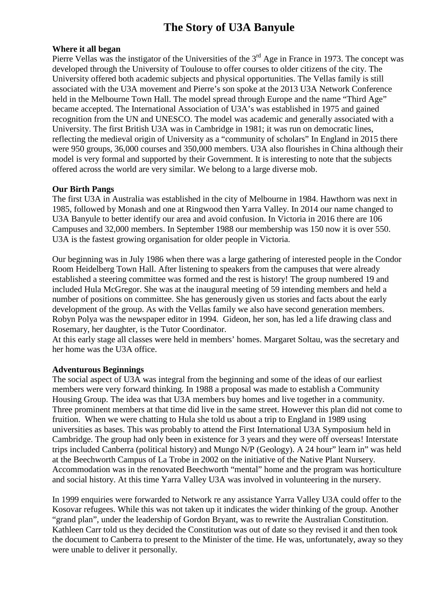# **The Story of U3A Banyule**

## **Where it all began**

Pierre Vellas was the instigator of the Universities of the 3<sup>rd</sup> Age in France in 1973. The concept was developed through the University of Toulouse to offer courses to older citizens of the city. The University offered both academic subjects and physical opportunities. The Vellas family is still associated with the U3A movement and Pierre's son spoke at the 2013 U3A Network Conference held in the Melbourne Town Hall. The model spread through Europe and the name "Third Age" became accepted. The International Association of U3A's was established in 1975 and gained recognition from the UN and UNESCO. The model was academic and generally associated with a University. The first British U3A was in Cambridge in 1981; it was run on democratic lines, reflecting the medieval origin of University as a "community of scholars" In England in 2015 there were 950 groups, 36,000 courses and 350,000 members. U3A also flourishes in China although their model is very formal and supported by their Government. It is interesting to note that the subjects offered across the world are very similar. We belong to a large diverse mob.

## **Our Birth Pangs**

The first U3A in Australia was established in the city of Melbourne in 1984. Hawthorn was next in 1985, followed by Monash and one at Ringwood then Yarra Valley. In 2014 our name changed to U3A Banyule to better identify our area and avoid confusion. In Victoria in 2016 there are 106 Campuses and 32,000 members. In September 1988 our membership was 150 now it is over 550. U3A is the fastest growing organisation for older people in Victoria.

Our beginning was in July 1986 when there was a large gathering of interested people in the Condor Room Heidelberg Town Hall. After listening to speakers from the campuses that were already established a steering committee was formed and the rest is history! The group numbered 19 and included Hula McGregor. She was at the inaugural meeting of 59 intending members and held a number of positions on committee. She has generously given us stories and facts about the early development of the group. As with the Vellas family we also have second generation members. Robyn Polya was the newspaper editor in 1994. Gideon, her son, has led a life drawing class and Rosemary, her daughter, is the Tutor Coordinator.

At this early stage all classes were held in members' homes. Margaret Soltau, was the secretary and her home was the U3A office.

#### **Adventurous Beginnings**

The social aspect of U3A was integral from the beginning and some of the ideas of our earliest members were very forward thinking. In 1988 a proposal was made to establish a Community Housing Group. The idea was that U3A members buy homes and live together in a community. Three prominent members at that time did live in the same street. However this plan did not come to fruition. When we were chatting to Hula she told us about a trip to England in 1989 using universities as bases. This was probably to attend the First International U3A Symposium held in Cambridge. The group had only been in existence for 3 years and they were off overseas! Interstate trips included Canberra (political history) and Mungo N/P (Geology). A 24 hour" learn in" was held at the Beechworth Campus of La Trobe in 2002 on the initiative of the Native Plant Nursery. Accommodation was in the renovated Beechworth "mental" home and the program was horticulture and social history. At this time Yarra Valley U3A was involved in volunteering in the nursery.

In 1999 enquiries were forwarded to Network re any assistance Yarra Valley U3A could offer to the Kosovar refugees. While this was not taken up it indicates the wider thinking of the group. Another "grand plan", under the leadership of Gordon Bryant, was to rewrite the Australian Constitution. Kathleen Carr told us they decided the Constitution was out of date so they revised it and then took the document to Canberra to present to the Minister of the time. He was, unfortunately, away so they were unable to deliver it personally.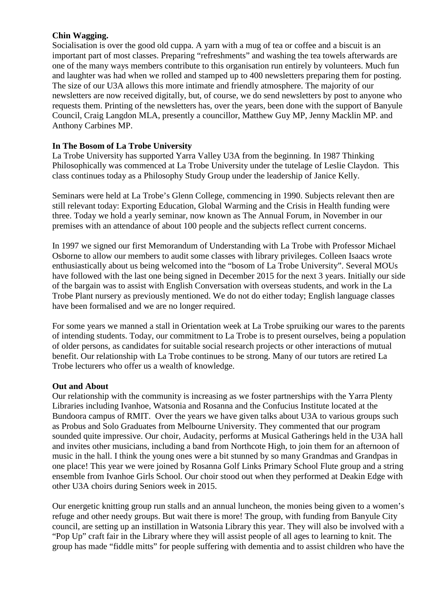# **Chin Wagging.**

Socialisation is over the good old cuppa. A yarn with a mug of tea or coffee and a biscuit is an important part of most classes. Preparing "refreshments" and washing the tea towels afterwards are one of the many ways members contribute to this organisation run entirely by volunteers. Much fun and laughter was had when we rolled and stamped up to 400 newsletters preparing them for posting. The size of our U3A allows this more intimate and friendly atmosphere. The majority of our newsletters are now received digitally, but, of course, we do send newsletters by post to anyone who requests them. Printing of the newsletters has, over the years, been done with the support of Banyule Council, Craig Langdon MLA, presently a councillor, Matthew Guy MP, Jenny Macklin MP. and Anthony Carbines MP.

# **In The Bosom of La Trobe University**

La Trobe University has supported Yarra Valley U3A from the beginning. In 1987 Thinking Philosophically was commenced at La Trobe University under the tutelage of Leslie Claydon. This class continues today as a Philosophy Study Group under the leadership of Janice Kelly.

Seminars were held at La Trobe's Glenn College, commencing in 1990. Subjects relevant then are still relevant today: Exporting Education, Global Warming and the Crisis in Health funding were three. Today we hold a yearly seminar, now known as The Annual Forum, in November in our premises with an attendance of about 100 people and the subjects reflect current concerns.

In 1997 we signed our first Memorandum of Understanding with La Trobe with Professor Michael Osborne to allow our members to audit some classes with library privileges. Colleen Isaacs wrote enthusiastically about us being welcomed into the "bosom of La Trobe University". Several MOUs have followed with the last one being signed in December 2015 for the next 3 years. Initially our side of the bargain was to assist with English Conversation with overseas students, and work in the La Trobe Plant nursery as previously mentioned. We do not do either today; English language classes have been formalised and we are no longer required.

For some years we manned a stall in Orientation week at La Trobe spruiking our wares to the parents of intending students. Today, our commitment to La Trobe is to present ourselves, being a population of older persons, as candidates for suitable social research projects or other interactions of mutual benefit. Our relationship with La Trobe continues to be strong. Many of our tutors are retired La Trobe lecturers who offer us a wealth of knowledge.

## **Out and About**

Our relationship with the community is increasing as we foster partnerships with the Yarra Plenty Libraries including Ivanhoe, Watsonia and Rosanna and the Confucius Institute located at the Bundoora campus of RMIT. Over the years we have given talks about U3A to various groups such as Probus and Solo Graduates from Melbourne University. They commented that our program sounded quite impressive. Our choir, Audacity, performs at Musical Gatherings held in the U3A hall and invites other musicians, including a band from Northcote High, to join them for an afternoon of music in the hall. I think the young ones were a bit stunned by so many Grandmas and Grandpas in one place! This year we were joined by Rosanna Golf Links Primary School Flute group and a string ensemble from Ivanhoe Girls School. Our choir stood out when they performed at Deakin Edge with other U3A choirs during Seniors week in 2015.

Our energetic knitting group run stalls and an annual luncheon, the monies being given to a women's refuge and other needy groups. But wait there is more! The group, with funding from Banyule City council, are setting up an instillation in Watsonia Library this year. They will also be involved with a "Pop Up" craft fair in the Library where they will assist people of all ages to learning to knit. The group has made "fiddle mitts" for people suffering with dementia and to assist children who have the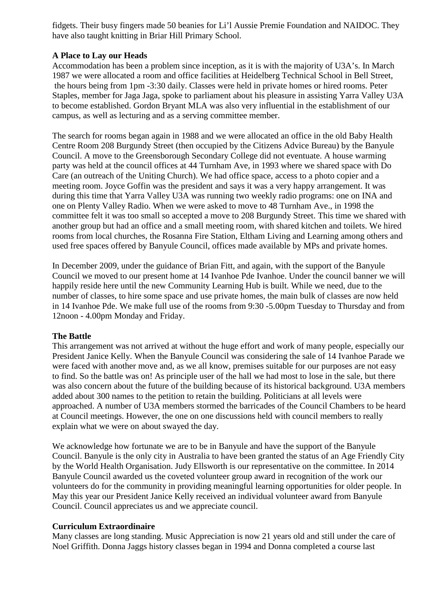fidgets. Their busy fingers made 50 beanies for Li'l Aussie Premie Foundation and NAIDOC. They have also taught knitting in Briar Hill Primary School.

# **A Place to Lay our Heads**

Accommodation has been a problem since inception, as it is with the majority of U3A's. In March 1987 we were allocated a room and office facilities at Heidelberg Technical School in Bell Street, the hours being from 1pm -3:30 daily. Classes were held in private homes or hired rooms. Peter Staples, member for Jaga Jaga, spoke to parliament about his pleasure in assisting Yarra Valley U3A to become established. Gordon Bryant MLA was also very influential in the establishment of our campus, as well as lecturing and as a serving committee member.

The search for rooms began again in 1988 and we were allocated an office in the old Baby Health Centre Room 208 Burgundy Street (then occupied by the Citizens Advice Bureau) by the Banyule Council. A move to the Greensborough Secondary College did not eventuate. A house warming party was held at the council offices at 44 Turnham Ave, in 1993 where we shared space with Do Care (an outreach of the Uniting Church). We had office space, access to a photo copier and a meeting room. Joyce Goffin was the president and says it was a very happy arrangement. It was during this time that Yarra Valley U3A was running two weekly radio programs: one on INA and one on Plenty Valley Radio. When we were asked to move to 48 Turnham Ave., in 1998 the committee felt it was too small so accepted a move to 208 Burgundy Street. This time we shared with another group but had an office and a small meeting room, with shared kitchen and toilets. We hired rooms from local churches, the Rosanna Fire Station, Eltham Living and Learning among others and used free spaces offered by Banyule Council, offices made available by MPs and private homes.

In December 2009, under the guidance of Brian Fitt, and again, with the support of the Banyule Council we moved to our present home at 14 Ivanhoe Pde Ivanhoe. Under the council banner we will happily reside here until the new Community Learning Hub is built. While we need, due to the number of classes, to hire some space and use private homes, the main bulk of classes are now held in 14 Ivanhoe Pde. We make full use of the rooms from 9:30 -5.00pm Tuesday to Thursday and from 12noon - 4.00pm Monday and Friday.

## **The Battle**

This arrangement was not arrived at without the huge effort and work of many people, especially our President Janice Kelly. When the Banyule Council was considering the sale of 14 Ivanhoe Parade we were faced with another move and, as we all know, premises suitable for our purposes are not easy to find. So the battle was on! As principle user of the hall we had most to lose in the sale, but there was also concern about the future of the building because of its historical background. U3A members added about 300 names to the petition to retain the building. Politicians at all levels were approached. A number of U3A members stormed the barricades of the Council Chambers to be heard at Council meetings. However, the one on one discussions held with council members to really explain what we were on about swayed the day.

We acknowledge how fortunate we are to be in Banyule and have the support of the Banyule Council. Banyule is the only city in Australia to have been granted the status of an Age Friendly City by the World Health Organisation. Judy Ellsworth is our representative on the committee. In 2014 Banyule Council awarded us the coveted volunteer group award in recognition of the work our volunteers do for the community in providing meaningful learning opportunities for older people. In May this year our President Janice Kelly received an individual volunteer award from Banyule Council. Council appreciates us and we appreciate council.

## **Curriculum Extraordinaire**

Many classes are long standing. Music Appreciation is now 21 years old and still under the care of Noel Griffith. Donna Jaggs history classes began in 1994 and Donna completed a course last